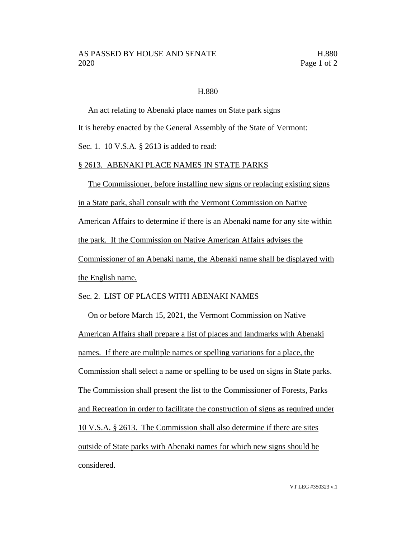## H.880

An act relating to Abenaki place names on State park signs It is hereby enacted by the General Assembly of the State of Vermont: Sec. 1. 10 V.S.A. § 2613 is added to read:

## § 2613. ABENAKI PLACE NAMES IN STATE PARKS

The Commissioner, before installing new signs or replacing existing signs in a State park, shall consult with the Vermont Commission on Native American Affairs to determine if there is an Abenaki name for any site within the park. If the Commission on Native American Affairs advises the Commissioner of an Abenaki name, the Abenaki name shall be displayed with the English name.

## Sec. 2. LIST OF PLACES WITH ABENAKI NAMES

On or before March 15, 2021, the Vermont Commission on Native American Affairs shall prepare a list of places and landmarks with Abenaki names. If there are multiple names or spelling variations for a place, the Commission shall select a name or spelling to be used on signs in State parks. The Commission shall present the list to the Commissioner of Forests, Parks and Recreation in order to facilitate the construction of signs as required under 10 V.S.A. § 2613. The Commission shall also determine if there are sites outside of State parks with Abenaki names for which new signs should be considered.